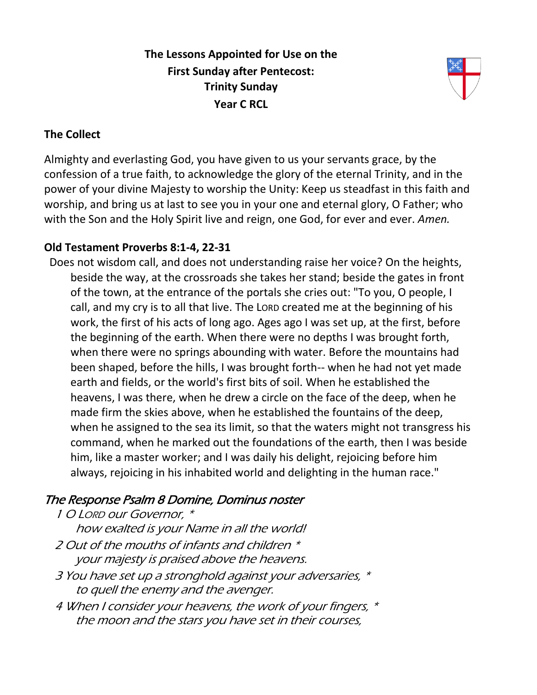**The Lessons Appointed for Use on the First Sunday after Pentecost: Trinity Sunday Year C RCL**



### **The Collect**

Almighty and everlasting God, you have given to us your servants grace, by the confession of a true faith, to acknowledge the glory of the eternal Trinity, and in the power of your divine Majesty to worship the Unity: Keep us steadfast in this faith and worship, and bring us at last to see you in your one and eternal glory, O Father; who with the Son and the Holy Spirit live and reign, one God, for ever and ever. *Amen.*

## **Old Testament Proverbs 8:1-4, 22-31**

Does not wisdom call, and does not understanding raise her voice? On the heights, beside the way, at the crossroads she takes her stand; beside the gates in front of the town, at the entrance of the portals she cries out: "To you, O people, I call, and my cry is to all that live. The LORD created me at the beginning of his work, the first of his acts of long ago. Ages ago I was set up, at the first, before the beginning of the earth. When there were no depths I was brought forth, when there were no springs abounding with water. Before the mountains had been shaped, before the hills, I was brought forth-- when he had not yet made earth and fields, or the world's first bits of soil. When he established the heavens, I was there, when he drew a circle on the face of the deep, when he made firm the skies above, when he established the fountains of the deep, when he assigned to the sea its limit, so that the waters might not transgress his command, when he marked out the foundations of the earth, then I was beside him, like a master worker; and I was daily his delight, rejoicing before him always, rejoicing in his inhabited world and delighting in the human race."

# The Response Psalm 8 Domine, Dominus noster

1 O LORD our Governor, \*

how exalted is your Name in all the world!

- 2 Out of the mouths of infants and children \* your majesty is praised above the heavens.
- 3 You have set up a stronghold against your adversaries, \* to quell the enemy and the avenger.
- 4 When I consider your heavens, the work of your fingers, \* the moon and the stars you have set in their courses,